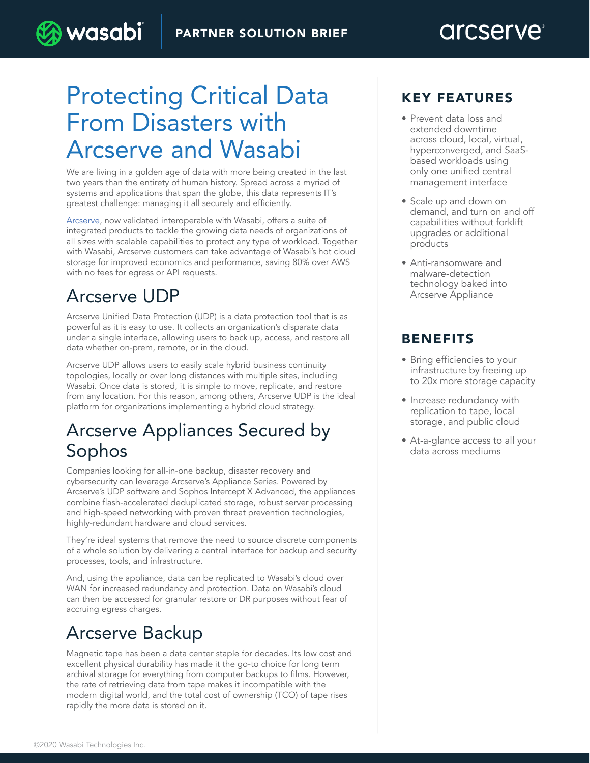# Protecting Critical Data From Disasters with Arcserve and Wasabi

We are living in a golden age of data with more being created in the last two years than the entirety of human history. Spread across a myriad of systems and applications that span the globe, this data represents IT's greatest challenge: managing it all securely and efficiently.

[Arcserve,](http://arcserve.com) now validated interoperable with Wasabi, offers a suite of integrated products to tackle the growing data needs of organizations of all sizes with scalable capabilities to protect any type of workload. Together with Wasabi, Arcserve customers can take advantage of Wasabi's hot cloud storage for improved economics and performance, saving 80% over AWS with no fees for egress or API requests.

### Arcserve UDP

wasabi

Arcserve Unified Data Protection (UDP) is a data protection tool that is as powerful as it is easy to use. It collects an organization's disparate data under a single interface, allowing users to back up, access, and restore all data whether on-prem, remote, or in the cloud.

Arcserve UDP allows users to easily scale hybrid business continuity topologies, locally or over long distances with multiple sites, including Wasabi. Once data is stored, it is simple to move, replicate, and restore from any location. For this reason, among others, Arcserve UDP is the ideal platform for organizations implementing a hybrid cloud strategy.

### Arcserve Appliances Secured by Sophos

Companies looking for all-in-one backup, disaster recovery and cybersecurity can leverage Arcserve's Appliance Series. Powered by Arcserve's UDP software and Sophos Intercept X Advanced, the appliances combine flash-accelerated deduplicated storage, robust server processing and high-speed networking with proven threat prevention technologies, highly-redundant hardware and cloud services.

They're ideal systems that remove the need to source discrete components of a whole solution by delivering a central interface for backup and security processes, tools, and infrastructure.

And, using the appliance, data can be replicated to Wasabi's cloud over WAN for increased redundancy and protection. Data on Wasabi's cloud can then be accessed for granular restore or DR purposes without fear of accruing egress charges.

## Arcserve Backup

Magnetic tape has been a data center staple for decades. Its low cost and excellent physical durability has made it the go-to choice for long term archival storage for everything from computer backups to films. However, the rate of retrieving data from tape makes it incompatible with the modern digital world, and the total cost of ownership (TCO) of tape rises rapidly the more data is stored on it.

#### KEY FEATURES

- Prevent data loss and extended downtime across cloud, local, virtual, hyperconverged, and SaaSbased workloads using only one unified central management interface
- Scale up and down on demand, and turn on and off capabilities without forklift upgrades or additional products
- Anti-ransomware and malware-detection technology baked into Arcserve Appliance

### BENEFITS

- Bring efficiencies to your infrastructure by freeing up to 20x more storage capacity
- Increase redundancy with replication to tape, local storage, and public cloud
- At-a-glance access to all your data across mediums